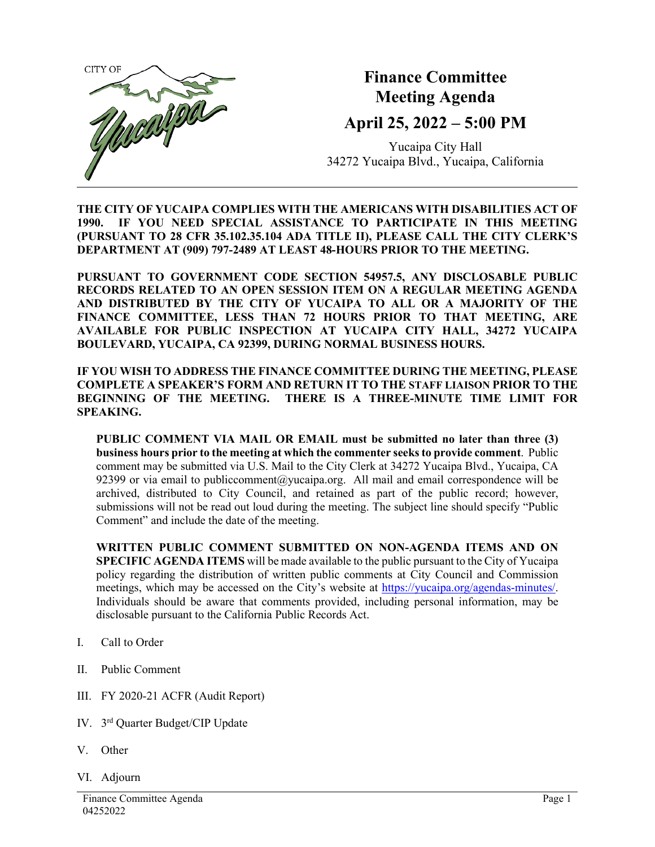

## **Finance Committee Meeting Agenda**

## **April 25, 2022 – 5:00 PM**

Yucaipa City Hall 34272 Yucaipa Blvd., Yucaipa, California

**THE CITY OF YUCAIPA COMPLIES WITH THE AMERICANS WITH DISABILITIES ACT OF 1990. IF YOU NEED SPECIAL ASSISTANCE TO PARTICIPATE IN THIS MEETING (PURSUANT TO 28 CFR 35.102.35.104 ADA TITLE II), PLEASE CALL THE CITY CLERK'S DEPARTMENT AT (909) 797-2489 AT LEAST 48-HOURS PRIOR TO THE MEETING.**

**PURSUANT TO GOVERNMENT CODE SECTION 54957.5, ANY DISCLOSABLE PUBLIC RECORDS RELATED TO AN OPEN SESSION ITEM ON A REGULAR MEETING AGENDA AND DISTRIBUTED BY THE CITY OF YUCAIPA TO ALL OR A MAJORITY OF THE FINANCE COMMITTEE, LESS THAN 72 HOURS PRIOR TO THAT MEETING, ARE AVAILABLE FOR PUBLIC INSPECTION AT YUCAIPA CITY HALL, 34272 YUCAIPA BOULEVARD, YUCAIPA, CA 92399, DURING NORMAL BUSINESS HOURS.**

**IF YOU WISH TO ADDRESS THE FINANCE COMMITTEE DURING THE MEETING, PLEASE COMPLETE A SPEAKER'S FORM AND RETURN IT TO THE STAFF LIAISON PRIOR TO THE BEGINNING OF THE MEETING. THERE IS A THREE-MINUTE TIME LIMIT FOR SPEAKING.**

**PUBLIC COMMENT VIA MAIL OR EMAIL must be submitted no later than three (3) business hours prior to the meeting at which the commenter seeks to provide comment**. Public comment may be submitted via U.S. Mail to the City Clerk at 34272 Yucaipa Blvd., Yucaipa, CA 92399 or via email to [publiccomment@yucaipa.org.](mailto:publiccomment@yucaipa.org) All mail and email correspondence will be archived, distributed to City Council, and retained as part of the public record; however, submissions will not be read out loud during the meeting. The subject line should specify "Public Comment" and include the date of the meeting.

**WRITTEN PUBLIC COMMENT SUBMITTED ON NON-AGENDA ITEMS AND ON SPECIFIC AGENDA ITEMS** will be made available to the public pursuant to the City of Yucaipa policy regarding the distribution of written public comments at City Council and Commission meetings, which may be accessed on the City's website at [https://yucaipa.org/agendas-minutes/.](https://yucaipa.org/agendas-minutes/) Individuals should be aware that comments provided, including personal information, may be disclosable pursuant to the California Public Records Act.

- I. Call to Order
- II. Public Comment
- III. FY 2020-21 ACFR (Audit Report)
- IV. 3rd Quarter Budget/CIP Update
- V. Other
- VI. Adjourn